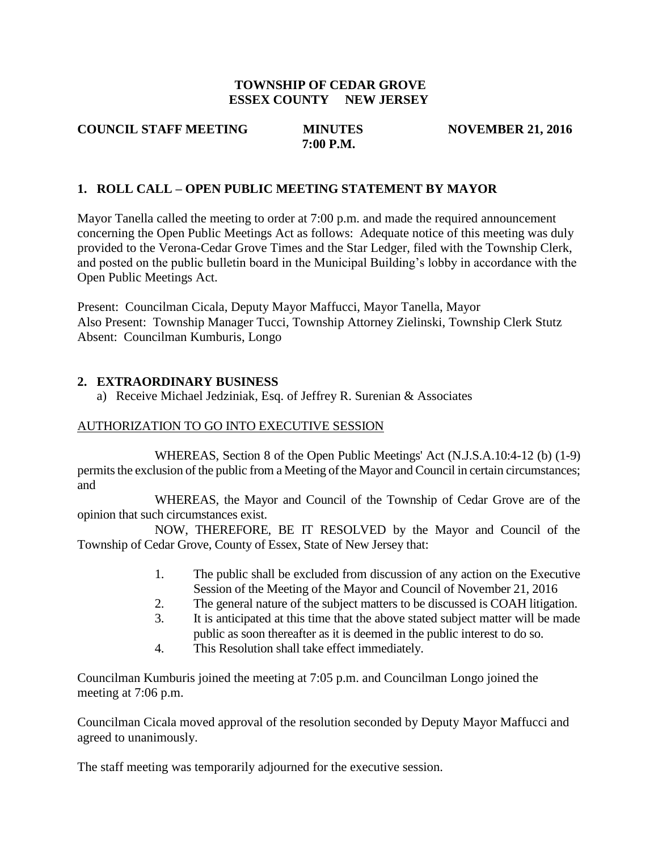#### **TOWNSHIP OF CEDAR GROVE ESSEX COUNTY NEW JERSEY**

**7:00 P.M.** 

**COUNCIL STAFF MEETING MINUTES NOVEMBER 21, 2016** 

### **1. ROLL CALL – OPEN PUBLIC MEETING STATEMENT BY MAYOR**

Mayor Tanella called the meeting to order at 7:00 p.m. and made the required announcement concerning the Open Public Meetings Act as follows: Adequate notice of this meeting was duly provided to the Verona-Cedar Grove Times and the Star Ledger, filed with the Township Clerk, and posted on the public bulletin board in the Municipal Building's lobby in accordance with the Open Public Meetings Act.

Present: Councilman Cicala, Deputy Mayor Maffucci, Mayor Tanella, Mayor Also Present: Township Manager Tucci, Township Attorney Zielinski, Township Clerk Stutz Absent: Councilman Kumburis, Longo

#### **2. EXTRAORDINARY BUSINESS**

a) Receive Michael Jedziniak, Esq. of Jeffrey R. Surenian & Associates

#### AUTHORIZATION TO GO INTO EXECUTIVE SESSION

WHEREAS, Section 8 of the Open Public Meetings' Act (N.J.S.A.10:4-12 (b) (1-9) permits the exclusion of the public from a Meeting of the Mayor and Council in certain circumstances; and

WHEREAS, the Mayor and Council of the Township of Cedar Grove are of the opinion that such circumstances exist.

NOW, THEREFORE, BE IT RESOLVED by the Mayor and Council of the Township of Cedar Grove, County of Essex, State of New Jersey that:

- 1. The public shall be excluded from discussion of any action on the Executive Session of the Meeting of the Mayor and Council of November 21, 2016
- 2. The general nature of the subject matters to be discussed is COAH litigation.
- 3. It is anticipated at this time that the above stated subject matter will be made public as soon thereafter as it is deemed in the public interest to do so.
- 4. This Resolution shall take effect immediately.

Councilman Kumburis joined the meeting at 7:05 p.m. and Councilman Longo joined the meeting at 7:06 p.m.

Councilman Cicala moved approval of the resolution seconded by Deputy Mayor Maffucci and agreed to unanimously.

The staff meeting was temporarily adjourned for the executive session.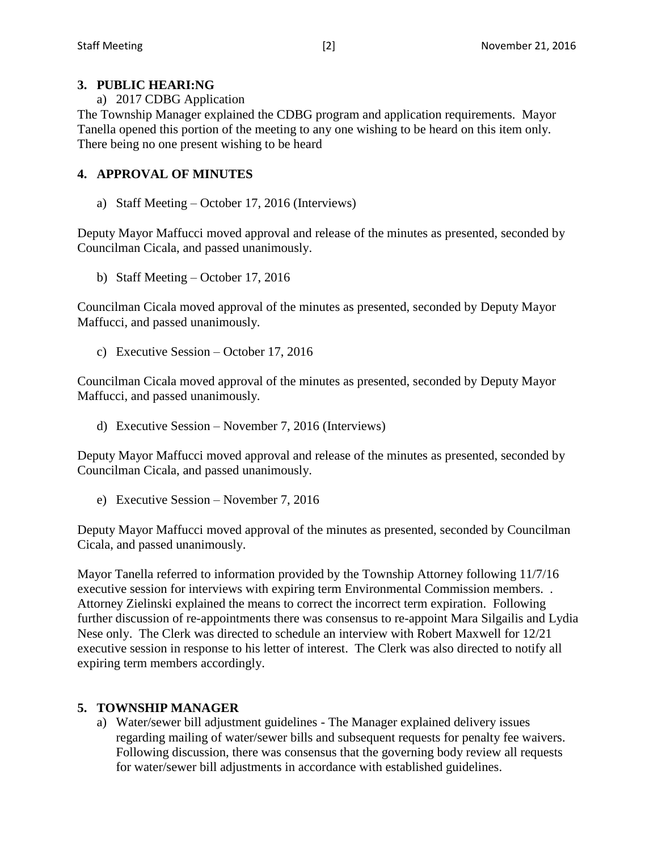## **3. PUBLIC HEARI:NG**

a) 2017 CDBG Application

The Township Manager explained the CDBG program and application requirements. Mayor Tanella opened this portion of the meeting to any one wishing to be heard on this item only. There being no one present wishing to be heard

## **4. APPROVAL OF MINUTES**

a) Staff Meeting – October 17, 2016 (Interviews)

Deputy Mayor Maffucci moved approval and release of the minutes as presented, seconded by Councilman Cicala, and passed unanimously.

b) Staff Meeting – October 17, 2016

Councilman Cicala moved approval of the minutes as presented, seconded by Deputy Mayor Maffucci, and passed unanimously.

c) Executive Session – October 17, 2016

Councilman Cicala moved approval of the minutes as presented, seconded by Deputy Mayor Maffucci, and passed unanimously.

d) Executive Session – November 7, 2016 (Interviews)

Deputy Mayor Maffucci moved approval and release of the minutes as presented, seconded by Councilman Cicala, and passed unanimously.

e) Executive Session – November 7, 2016

Deputy Mayor Maffucci moved approval of the minutes as presented, seconded by Councilman Cicala, and passed unanimously.

Mayor Tanella referred to information provided by the Township Attorney following 11/7/16 executive session for interviews with expiring term Environmental Commission members. . Attorney Zielinski explained the means to correct the incorrect term expiration. Following further discussion of re-appointments there was consensus to re-appoint Mara Silgailis and Lydia Nese only. The Clerk was directed to schedule an interview with Robert Maxwell for 12/21 executive session in response to his letter of interest. The Clerk was also directed to notify all expiring term members accordingly.

## **5. TOWNSHIP MANAGER**

a) Water/sewer bill adjustment guidelines - The Manager explained delivery issues regarding mailing of water/sewer bills and subsequent requests for penalty fee waivers. Following discussion, there was consensus that the governing body review all requests for water/sewer bill adjustments in accordance with established guidelines.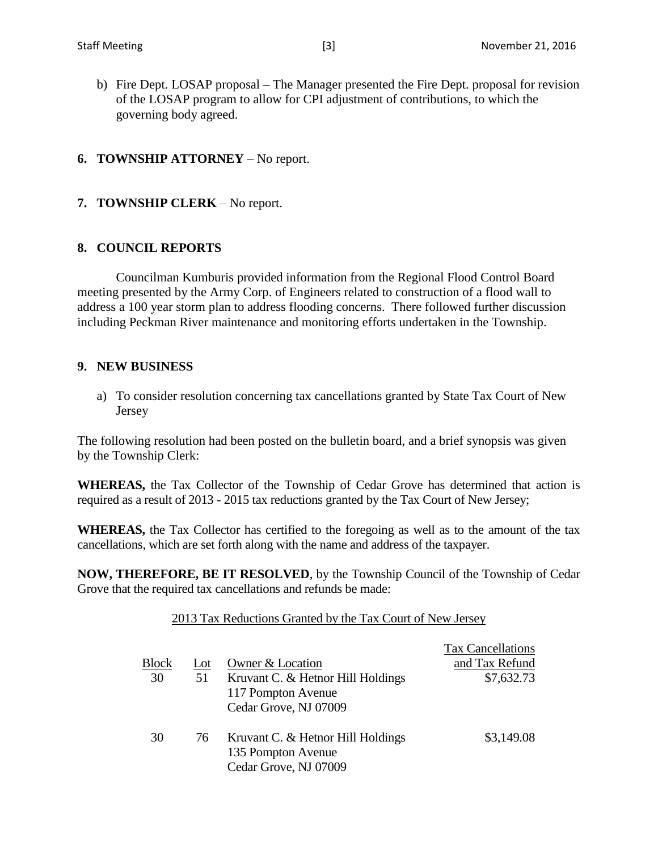- b) Fire Dept. LOSAP proposal The Manager presented the Fire Dept. proposal for revision of the LOSAP program to allow for CPI adjustment of contributions, to which the governing body agreed.
- **6. TOWNSHIP ATTORNEY** No report.
- **7. TOWNSHIP CLERK** No report.

## **8. COUNCIL REPORTS**

Councilman Kumburis provided information from the Regional Flood Control Board meeting presented by the Army Corp. of Engineers related to construction of a flood wall to address a 100 year storm plan to address flooding concerns. There followed further discussion including Peckman River maintenance and monitoring efforts undertaken in the Township.

#### **9. NEW BUSINESS**

a) To consider resolution concerning tax cancellations granted by State Tax Court of New Jersey

The following resolution had been posted on the bulletin board, and a brief synopsis was given by the Township Clerk:

**WHEREAS,** the Tax Collector of the Township of Cedar Grove has determined that action is required as a result of 2013 - 2015 tax reductions granted by the Tax Court of New Jersey;

**WHEREAS,** the Tax Collector has certified to the foregoing as well as to the amount of the tax cancellations, which are set forth along with the name and address of the taxpayer.

**NOW, THEREFORE, BE IT RESOLVED**, by the Township Council of the Township of Cedar Grove that the required tax cancellations and refunds be made:

#### 2013 Tax Reductions Granted by the Tax Court of New Jersey

|       |     |                                                                                  | <b>Tax Cancellations</b> |
|-------|-----|----------------------------------------------------------------------------------|--------------------------|
| Block | Lot | Owner & Location                                                                 | and Tax Refund           |
| 30    | 51  | Kruvant C. & Hetnor Hill Holdings<br>117 Pompton Avenue<br>Cedar Grove, NJ 07009 | \$7,632.73               |
| 30    | 76  | Kruvant C. & Hetnor Hill Holdings<br>135 Pompton Avenue<br>Cedar Grove, NJ 07009 | \$3,149.08               |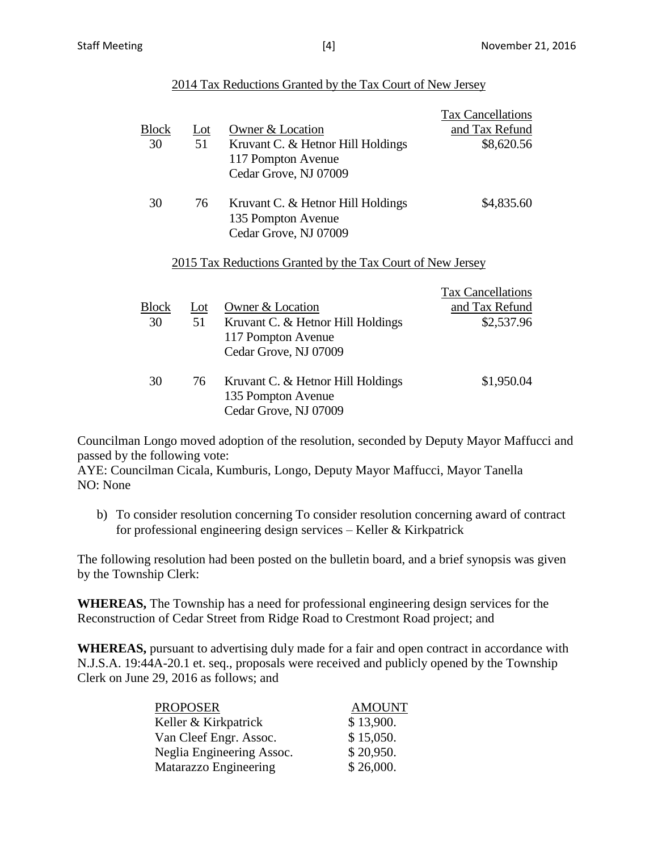### 2014 Tax Reductions Granted by the Tax Court of New Jersey

|              |                          |                                                            | <b>Tax Cancellations</b> |
|--------------|--------------------------|------------------------------------------------------------|--------------------------|
| <b>Block</b> | $\underline{\text{Lot}}$ | Owner & Location                                           | and Tax Refund           |
| 30           | 51                       | Kruvant C. & Hetnor Hill Holdings                          | \$8,620.56               |
|              |                          | 117 Pompton Avenue                                         |                          |
|              |                          | Cedar Grove, NJ 07009                                      |                          |
| 30           | 76                       | Kruvant C. & Hetnor Hill Holdings                          | \$4,835.60               |
|              |                          | 135 Pompton Avenue                                         |                          |
|              |                          | Cedar Grove, NJ 07009                                      |                          |
|              |                          | 2015 Tax Reductions Granted by the Tax Court of New Jersey |                          |
|              |                          |                                                            | <b>Tax Cancellations</b> |
| <b>Block</b> | $Let$                    | Owner & Location                                           | and Tax Refund           |
| 30           | 51                       | Kruvant C. & Hetnor Hill Holdings                          | \$2,537.96               |
|              |                          | 117 Pompton Avenue                                         |                          |
|              |                          | Cedar Grove, NJ 07009                                      |                          |
| 30           | 76                       | Kruvant C. & Hetnor Hill Holdings                          | \$1,950.04               |
|              |                          | 135 Pompton Avenue                                         |                          |
|              |                          | Cedar Grove, NJ 07009                                      |                          |

Councilman Longo moved adoption of the resolution, seconded by Deputy Mayor Maffucci and passed by the following vote:

AYE: Councilman Cicala, Kumburis, Longo, Deputy Mayor Maffucci, Mayor Tanella NO: None

b) To consider resolution concerning To consider resolution concerning award of contract for professional engineering design services – Keller & Kirkpatrick

The following resolution had been posted on the bulletin board, and a brief synopsis was given by the Township Clerk:

**WHEREAS,** The Township has a need for professional engineering design services for the Reconstruction of Cedar Street from Ridge Road to Crestmont Road project; and

**WHEREAS,** pursuant to advertising duly made for a fair and open contract in accordance with N.J.S.A. 19:44A-20.1 et. seq., proposals were received and publicly opened by the Township Clerk on June 29, 2016 as follows; and

| <b>PROPOSER</b>           | <b>AMOUNT</b> |
|---------------------------|---------------|
| Keller & Kirkpatrick      | \$13,900.     |
| Van Cleef Engr. Assoc.    | \$15,050.     |
| Neglia Engineering Assoc. | \$20,950.     |
| Matarazzo Engineering     | \$26,000.     |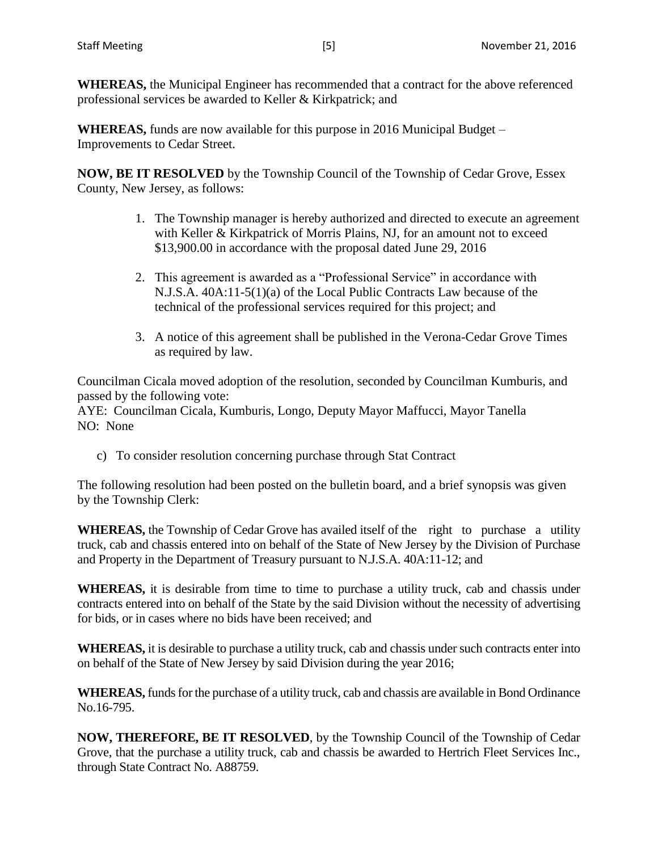**WHEREAS,** the Municipal Engineer has recommended that a contract for the above referenced professional services be awarded to Keller & Kirkpatrick; and

**WHEREAS,** funds are now available for this purpose in 2016 Municipal Budget – Improvements to Cedar Street.

**NOW, BE IT RESOLVED** by the Township Council of the Township of Cedar Grove, Essex County, New Jersey, as follows:

- 1. The Township manager is hereby authorized and directed to execute an agreement with Keller & Kirkpatrick of Morris Plains, NJ, for an amount not to exceed \$13,900.00 in accordance with the proposal dated June 29, 2016
- 2. This agreement is awarded as a "Professional Service" in accordance with N.J.S.A. 40A:11-5(1)(a) of the Local Public Contracts Law because of the technical of the professional services required for this project; and
- 3. A notice of this agreement shall be published in the Verona-Cedar Grove Times as required by law.

Councilman Cicala moved adoption of the resolution, seconded by Councilman Kumburis, and passed by the following vote:

AYE: Councilman Cicala, Kumburis, Longo, Deputy Mayor Maffucci, Mayor Tanella NO: None

c) To consider resolution concerning purchase through Stat Contract

The following resolution had been posted on the bulletin board, and a brief synopsis was given by the Township Clerk:

**WHEREAS,** the Township of Cedar Grove has availed itself of the right to purchase a utility truck, cab and chassis entered into on behalf of the State of New Jersey by the Division of Purchase and Property in the Department of Treasury pursuant to N.J.S.A. 40A:11-12; and

**WHEREAS,** it is desirable from time to time to purchase a utility truck, cab and chassis under contracts entered into on behalf of the State by the said Division without the necessity of advertising for bids, or in cases where no bids have been received; and

**WHEREAS,** it is desirable to purchase a utility truck, cab and chassis under such contracts enter into on behalf of the State of New Jersey by said Division during the year 2016;

**WHEREAS,** funds for the purchase of a utility truck, cab and chassis are available in Bond Ordinance No.16-795.

**NOW, THEREFORE, BE IT RESOLVED**, by the Township Council of the Township of Cedar Grove, that the purchase a utility truck, cab and chassis be awarded to Hertrich Fleet Services Inc., through State Contract No. A88759.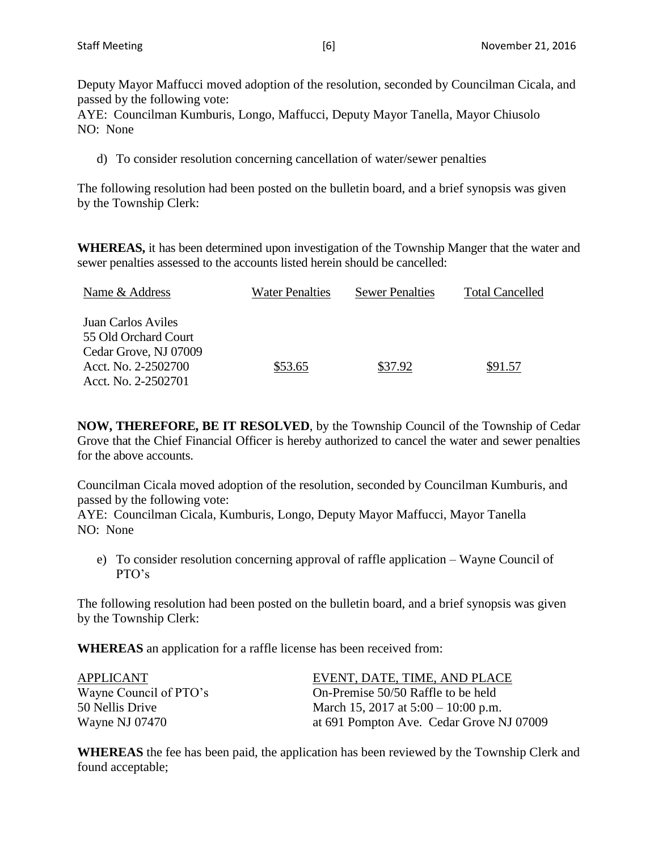Deputy Mayor Maffucci moved adoption of the resolution, seconded by Councilman Cicala, and passed by the following vote:

AYE: Councilman Kumburis, Longo, Maffucci, Deputy Mayor Tanella, Mayor Chiusolo NO: None

d) To consider resolution concerning cancellation of water/sewer penalties

The following resolution had been posted on the bulletin board, and a brief synopsis was given by the Township Clerk:

**WHEREAS,** it has been determined upon investigation of the Township Manger that the water and sewer penalties assessed to the accounts listed herein should be cancelled:

| Name & Address            | <b>Water Penalties</b> | <b>Sewer Penalties</b> | <b>Total Cancelled</b> |
|---------------------------|------------------------|------------------------|------------------------|
| <b>Juan Carlos Aviles</b> |                        |                        |                        |
| 55 Old Orchard Court      |                        |                        |                        |
| Cedar Grove, NJ 07009     |                        |                        |                        |
| Acct. No. 2-2502700       | \$53.65                | \$37.92                | \$91.57                |
| Acct. No. 2-2502701       |                        |                        |                        |

**NOW, THEREFORE, BE IT RESOLVED**, by the Township Council of the Township of Cedar Grove that the Chief Financial Officer is hereby authorized to cancel the water and sewer penalties for the above accounts.

Councilman Cicala moved adoption of the resolution, seconded by Councilman Kumburis, and passed by the following vote:

AYE: Councilman Cicala, Kumburis, Longo, Deputy Mayor Maffucci, Mayor Tanella NO: None

e) To consider resolution concerning approval of raffle application – Wayne Council of PTO's

The following resolution had been posted on the bulletin board, and a brief synopsis was given by the Township Clerk:

**WHEREAS** an application for a raffle license has been received from:

| APPLICANT              | EVENT, DATE, TIME, AND PLACE             |
|------------------------|------------------------------------------|
| Wayne Council of PTO's | On-Premise 50/50 Raffle to be held       |
| 50 Nellis Drive        | March 15, 2017 at $5:00 - 10:00$ p.m.    |
| Wayne NJ 07470         | at 691 Pompton Ave. Cedar Grove NJ 07009 |

**WHEREAS** the fee has been paid, the application has been reviewed by the Township Clerk and found acceptable;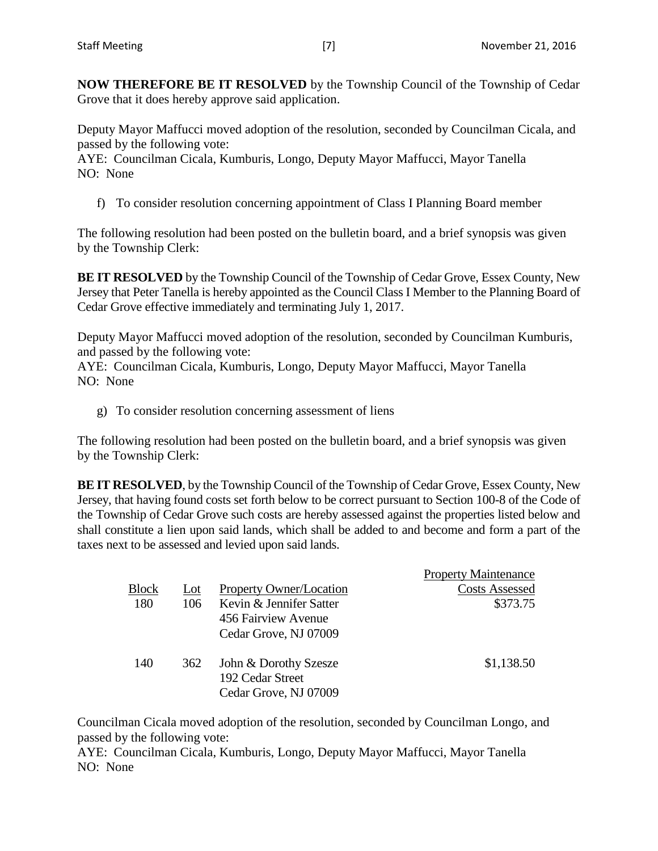**NOW THEREFORE BE IT RESOLVED** by the Township Council of the Township of Cedar Grove that it does hereby approve said application.

Deputy Mayor Maffucci moved adoption of the resolution, seconded by Councilman Cicala, and passed by the following vote:

AYE: Councilman Cicala, Kumburis, Longo, Deputy Mayor Maffucci, Mayor Tanella NO: None

f) To consider resolution concerning appointment of Class I Planning Board member

The following resolution had been posted on the bulletin board, and a brief synopsis was given by the Township Clerk:

**BE IT RESOLVED** by the Township Council of the Township of Cedar Grove, Essex County, New Jersey that Peter Tanella is hereby appointed as the Council Class I Member to the Planning Board of Cedar Grove effective immediately and terminating July 1, 2017.

Deputy Mayor Maffucci moved adoption of the resolution, seconded by Councilman Kumburis, and passed by the following vote:

AYE: Councilman Cicala, Kumburis, Longo, Deputy Mayor Maffucci, Mayor Tanella NO: None

g) To consider resolution concerning assessment of liens

The following resolution had been posted on the bulletin board, and a brief synopsis was given by the Township Clerk:

**BE IT RESOLVED**, by the Township Council of the Township of Cedar Grove, Essex County, New Jersey, that having found costs set forth below to be correct pursuant to Section 100-8 of the Code of the Township of Cedar Grove such costs are hereby assessed against the properties listed below and shall constitute a lien upon said lands, which shall be added to and become and form a part of the taxes next to be assessed and levied upon said lands.

|       |     |                                           | <b>Property Maintenance</b> |
|-------|-----|-------------------------------------------|-----------------------------|
| Block | Lot | <b>Property Owner/Location</b>            | <b>Costs Assessed</b>       |
| 180   | 106 | Kevin & Jennifer Satter                   | \$373.75                    |
|       |     | 456 Fairview Avenue                       |                             |
|       |     | Cedar Grove, NJ 07009                     |                             |
| 140   | 362 | John & Dorothy Szesze<br>192 Cedar Street | \$1,138.50                  |
|       |     | Cedar Grove, NJ 07009                     |                             |

Councilman Cicala moved adoption of the resolution, seconded by Councilman Longo, and passed by the following vote:

AYE: Councilman Cicala, Kumburis, Longo, Deputy Mayor Maffucci, Mayor Tanella NO: None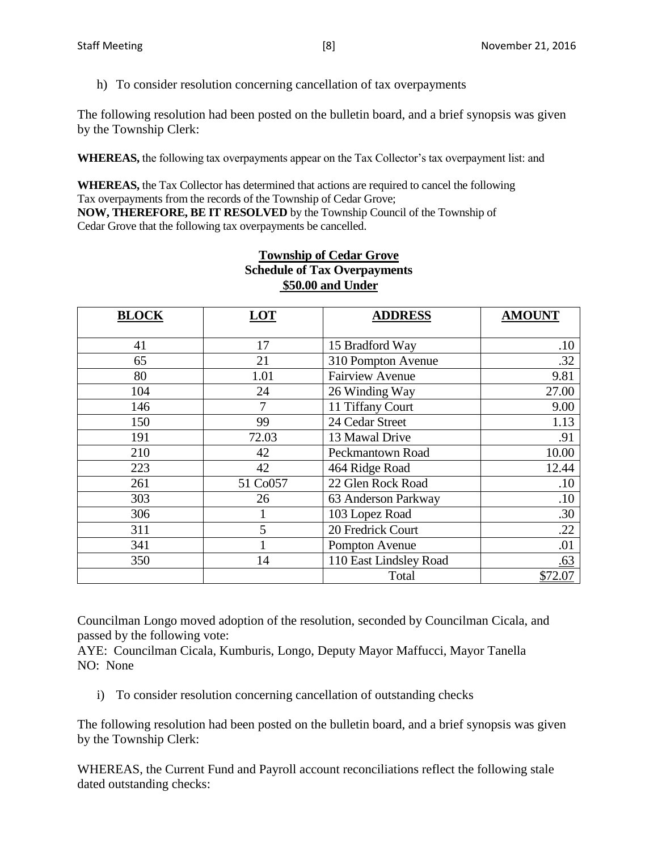h) To consider resolution concerning cancellation of tax overpayments

The following resolution had been posted on the bulletin board, and a brief synopsis was given by the Township Clerk:

**WHEREAS,** the following tax overpayments appear on the Tax Collector's tax overpayment list: and

**WHEREAS,** the Tax Collector has determined that actions are required to cancel the following Tax overpayments from the records of the Township of Cedar Grove; **NOW, THEREFORE, BE IT RESOLVED** by the Township Council of the Township of Cedar Grove that the following tax overpayments be cancelled.

| <b>BLOCK</b> | <b>LOT</b> | <b>ADDRESS</b>          | <b>AMOUNT</b> |
|--------------|------------|-------------------------|---------------|
| 41           | 17         | 15 Bradford Way         | .10           |
| 65           | 21         | 310 Pompton Avenue      | .32           |
| 80           | 1.01       | <b>Fairview Avenue</b>  | 9.81          |
| 104          | 24         | 26 Winding Way          | 27.00         |
| 146          | 7          | 11 Tiffany Court        | 9.00          |
| 150          | 99         | 24 Cedar Street         | 1.13          |
| 191          | 72.03      | 13 Mawal Drive          | .91           |
| 210          | 42         | <b>Peckmantown Road</b> | 10.00         |
| 223          | 42         | 464 Ridge Road          | 12.44         |
| 261          | 51 Co057   | 22 Glen Rock Road       | .10           |
| 303          | 26         | 63 Anderson Parkway     | .10           |
| 306          |            | 103 Lopez Road          | .30           |
| 311          | 5          | 20 Fredrick Court       | .22           |
| 341          |            | Pompton Avenue          | .01           |
| 350          | 14         | 110 East Lindsley Road  | .63           |
|              |            | Total                   | \$72.07       |

## **Township of Cedar Grove Schedule of Tax Overpayments \$50.00 and Under**

Councilman Longo moved adoption of the resolution, seconded by Councilman Cicala, and passed by the following vote:

AYE: Councilman Cicala, Kumburis, Longo, Deputy Mayor Maffucci, Mayor Tanella NO: None

i) To consider resolution concerning cancellation of outstanding checks

The following resolution had been posted on the bulletin board, and a brief synopsis was given by the Township Clerk:

WHEREAS, the Current Fund and Payroll account reconciliations reflect the following stale dated outstanding checks: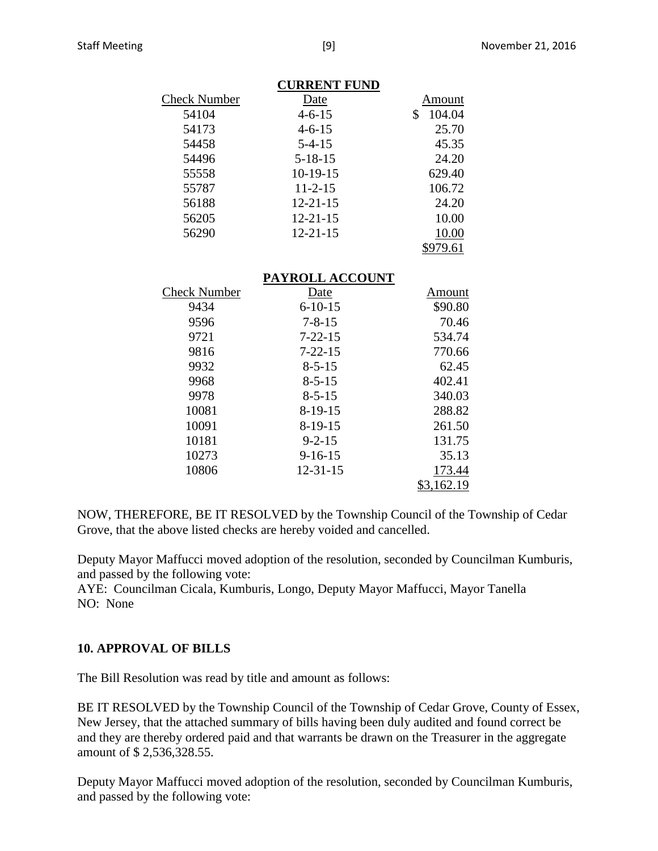|                     | <b>CURRENT FUND</b> |              |
|---------------------|---------------------|--------------|
| <b>Check Number</b> | Date                | Amount       |
| 54104               | $4 - 6 - 15$        | \$<br>104.04 |
| 54173               | $4 - 6 - 15$        | 25.70        |
| 54458               | $5 - 4 - 15$        | 45.35        |
| 54496               | $5 - 18 - 15$       | 24.20        |
| 55558               | $10-19-15$          | 629.40       |
| 55787               | $11 - 2 - 15$       | 106.72       |
| 56188               | $12 - 21 - 15$      | 24.20        |
| 56205               | $12 - 21 - 15$      | 10.00        |
| 56290               | $12 - 21 - 15$      | 10.00        |
|                     |                     | \$979.61     |
|                     | PAYROLL ACCOUNT     |              |
| <b>Check Number</b> | Date                | Amount       |
| 9434                | $6 - 10 - 15$       | \$90.80      |
| 9596                | $7 - 8 - 15$        | 70.46        |
| 9721                | $7 - 22 - 15$       | 534.74       |
| 9816                | 7-22-15             | 770.66       |
| 9932                | $8 - 5 - 15$        | 62.45        |

# \$3,162.19 NOW, THEREFORE, BE IT RESOLVED by the Township Council of the Township of Cedar

 8-5-15 402.41 8-5-15 340.03 8-19-15 288.82 8-19-15 261.50 10181 9-2-15 131.75 9-16-15 35.13 12-31-15 173.44

Grove, that the above listed checks are hereby voided and cancelled.

Deputy Mayor Maffucci moved adoption of the resolution, seconded by Councilman Kumburis, and passed by the following vote:

AYE: Councilman Cicala, Kumburis, Longo, Deputy Mayor Maffucci, Mayor Tanella NO: None

## **10. APPROVAL OF BILLS**

The Bill Resolution was read by title and amount as follows:

BE IT RESOLVED by the Township Council of the Township of Cedar Grove, County of Essex, New Jersey, that the attached summary of bills having been duly audited and found correct be and they are thereby ordered paid and that warrants be drawn on the Treasurer in the aggregate amount of \$ 2,536,328.55.

Deputy Mayor Maffucci moved adoption of the resolution, seconded by Councilman Kumburis, and passed by the following vote: